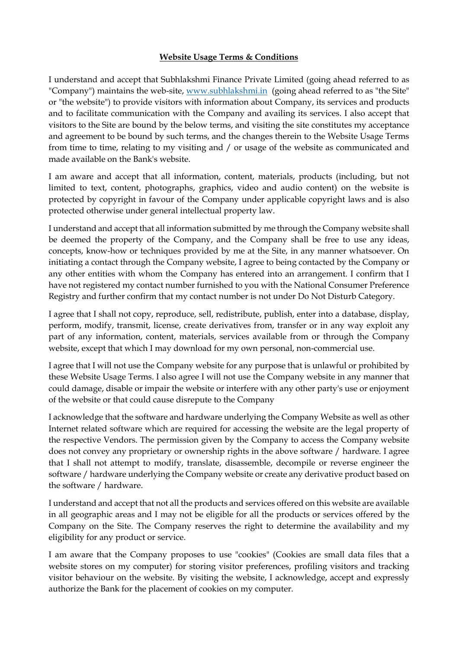## **Website Usage Terms & Conditions**

I understand and accept that Subhlakshmi Finance Private Limited (going ahead referred to as "Company") maintains the web-site, [www.subhlakshmi.in](http://www.subhlakshmi.in/) (going ahead referred to as "the Site" or "the website") to provide visitors with information about Company, its services and products and to facilitate communication with the Company and availing its services. I also accept that visitors to the Site are bound by the below terms, and visiting the site constitutes my acceptance and agreement to be bound by such terms, and the changes therein to the Website Usage Terms from time to time, relating to my visiting and / or usage of the website as communicated and made available on the Bank's website.

I am aware and accept that all information, content, materials, products (including, but not limited to text, content, photographs, graphics, video and audio content) on the website is protected by copyright in favour of the Company under applicable copyright laws and is also protected otherwise under general intellectual property law.

I understand and accept that all information submitted by me through the Company website shall be deemed the property of the Company, and the Company shall be free to use any ideas, concepts, know-how or techniques provided by me at the Site, in any manner whatsoever. On initiating a contact through the Company website, I agree to being contacted by the Company or any other entities with whom the Company has entered into an arrangement. I confirm that I have not registered my contact number furnished to you with the National Consumer Preference Registry and further confirm that my contact number is not under Do Not Disturb Category.

I agree that I shall not copy, reproduce, sell, redistribute, publish, enter into a database, display, perform, modify, transmit, license, create derivatives from, transfer or in any way exploit any part of any information, content, materials, services available from or through the Company website, except that which I may download for my own personal, non-commercial use.

I agree that I will not use the Company website for any purpose that is unlawful or prohibited by these Website Usage Terms. I also agree I will not use the Company website in any manner that could damage, disable or impair the website or interfere with any other party's use or enjoyment of the website or that could cause disrepute to the Company

I acknowledge that the software and hardware underlying the Company Website as well as other Internet related software which are required for accessing the website are the legal property of the respective Vendors. The permission given by the Company to access the Company website does not convey any proprietary or ownership rights in the above software / hardware. I agree that I shall not attempt to modify, translate, disassemble, decompile or reverse engineer the software / hardware underlying the Company website or create any derivative product based on the software / hardware.

I understand and accept that not all the products and services offered on this website are available in all geographic areas and I may not be eligible for all the products or services offered by the Company on the Site. The Company reserves the right to determine the availability and my eligibility for any product or service.

I am aware that the Company proposes to use "cookies" (Cookies are small data files that a website stores on my computer) for storing visitor preferences, profiling visitors and tracking visitor behaviour on the website. By visiting the website, I acknowledge, accept and expressly authorize the Bank for the placement of cookies on my computer.